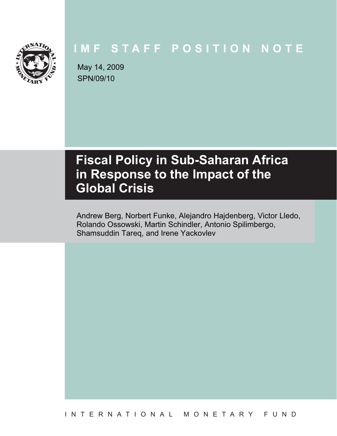

## **IMF STAFF POSITION NOTE**

SPN/09/10 May 14, 2009

# **Fiscal Policy in Sub-Saharan Africa in Response to the Impact of the Global Crisis**

Andrew Berg, Norbert Funke, Alejandro Hajdenberg, Victor Lledo, Rolando Ossowski, Martin Schindler, Antonio Spilimbergo, Shamsuddin Tareq, and Irene Yackovlev

INTERNATIONAL MONETARY FUND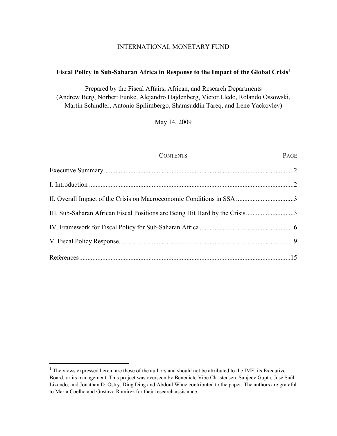#### INTERNATIONAL MONETARY FUND

#### **Fiscal Policy in Sub-Saharan Africa in Response to the Impact of the Global Crisis1**

Prepared by the Fiscal Affairs, African, and Research Departments (Andrew Berg, Norbert Funke, Alejandro Hajdenberg, Victor Lledo, Rolando Ossowski, Martin Schindler, Antonio Spilimbergo, Shamsuddin Tareq, and Irene Yackovlev)

May 14, 2009

#### CONTENTS PAGE

| II. Overall Impact of the Crisis on Macroeconomic Conditions in SSA 3       |  |
|-----------------------------------------------------------------------------|--|
| III. Sub-Saharan African Fiscal Positions are Being Hit Hard by the Crisis3 |  |
|                                                                             |  |
|                                                                             |  |
|                                                                             |  |

<u>.</u>

<sup>&</sup>lt;sup>1</sup> The views expressed herein are those of the authors and should not be attributed to the IMF, its Executive Board, or its management. This project was overseen by Benedicte Vibe Christensen, Sanjeev Gupta, José Saúl Lizondo, and Jonathan D. Ostry. Ding Ding and Abdoul Wane contributed to the paper. The authors are grateful to Maria Coelho and Gustavo Ramírez for their research assistance.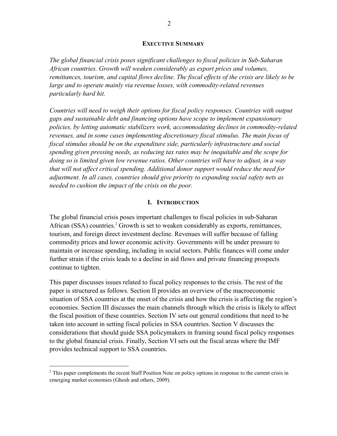#### **EXECUTIVE SUMMARY**

*The global financial crisis poses significant challenges to fiscal policies in Sub-Saharan African countries. Growth will weaken considerably as export prices and volumes, remittances, tourism, and capital flows decline. The fiscal effects of the crisis are likely to be large and to operate mainly via revenue losses, with commodity-related revenues particularly hard hit.* 

*Countries will need to weigh their options for fiscal policy responses. Countries with output gaps and sustainable debt and financing options have scope to implement expansionary policies, by letting automatic stabilizers work, accommodating declines in commodity-related revenues, and in some cases implementing discretionary fiscal stimulus. The main focus of fiscal stimulus should be on the expenditure side, particularly infrastructure and social spending given pressing needs, as reducing tax rates may be inequitable and the scope for doing so is limited given low revenue ratios. Other countries will have to adjust, in a way that will not affect critical spending. Additional donor support would reduce the need for adjustment. In all cases, countries should give priority to expanding social safety nets as needed to cushion the impact of the crisis on the poor.* 

#### **I. INTRODUCTION**

The global financial crisis poses important challenges to fiscal policies in sub-Saharan African (SSA) countries.<sup>2</sup> Growth is set to weaken considerably as exports, remittances, tourism, and foreign direct investment decline. Revenues will suffer because of falling commodity prices and lower economic activity. Governments will be under pressure to maintain or increase spending, including in social sectors. Public finances will come under further strain if the crisis leads to a decline in aid flows and private financing prospects continue to tighten.

This paper discusses issues related to fiscal policy responses to the crisis. The rest of the paper is structured as follows. Section II provides an overview of the macroeconomic situation of SSA countries at the onset of the crisis and how the crisis is affecting the region's economies. Section III discusses the main channels through which the crisis is likely to affect the fiscal position of these countries. Section IV sets out general conditions that need to be taken into account in setting fiscal policies in SSA countries. Section V discusses the considerations that should guide SSA policymakers in framing sound fiscal policy responses to the global financial crisis. Finally, Section VI sets out the fiscal areas where the IMF provides technical support to SSA countries.

 $2<sup>2</sup>$  This paper complements the recent Staff Position Note on policy options in response to the current crisis in emerging market economies (Ghosh and others, 2009).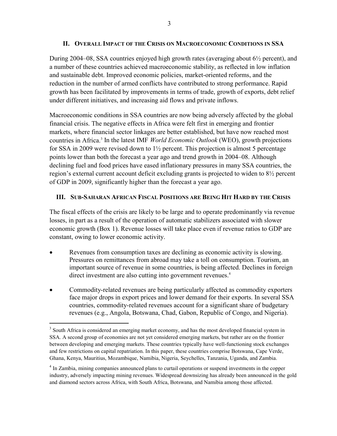#### **II. OVERALL IMPACT OF THE CRISIS ON MACROECONOMIC CONDITIONS IN SSA**

During 2004–08, SSA countries enjoyed high growth rates (averaging about  $6\frac{1}{2}$  percent), and a number of these countries achieved macroeconomic stability, as reflected in low inflation and sustainable debt. Improved economic policies, market-oriented reforms, and the reduction in the number of armed conflicts have contributed to strong performance. Rapid growth has been facilitated by improvements in terms of trade, growth of exports, debt relief under different initiatives, and increasing aid flows and private inflows.

Macroeconomic conditions in SSA countries are now being adversely affected by the global financial crisis. The negative effects in Africa were felt first in emerging and frontier markets, where financial sector linkages are better established, but have now reached most countries in Africa.<sup>3</sup> In the latest IMF *World Economic Outlook* (WEO), growth projections for SSA in 2009 were revised down to 1½ percent. This projection is almost 5 percentage points lower than both the forecast a year ago and trend growth in 2004–08. Although declining fuel and food prices have eased inflationary pressures in many SSA countries, the region's external current account deficit excluding grants is projected to widen to 8½ percent of GDP in 2009, significantly higher than the forecast a year ago.

#### **III. SUB-SAHARAN AFRICAN FISCAL POSITIONS ARE BEING HIT HARD BY THE CRISIS**

The fiscal effects of the crisis are likely to be large and to operate predominantly via revenue losses, in part as a result of the operation of automatic stabilizers associated with slower economic growth (Box 1). Revenue losses will take place even if revenue ratios to GDP are constant, owing to lower economic activity.

- Revenues from consumption taxes are declining as economic activity is slowing. Pressures on remittances from abroad may take a toll on consumption. Tourism, an important source of revenue in some countries, is being affected. Declines in foreign direct investment are also cutting into government revenues.<sup>4</sup>
- Commodity-related revenues are being particularly affected as commodity exporters face major drops in export prices and lower demand for their exports. In several SSA countries, commodity-related revenues account for a significant share of budgetary revenues (e.g., Angola, Botswana, Chad, Gabon, Republic of Congo, and Nigeria).

<sup>&</sup>lt;sup>3</sup> South Africa is considered an emerging market economy, and has the most developed financial system in SSA. A second group of economies are not yet considered emerging markets, but rather are on the frontier between developing and emerging markets. These countries typically have well-functioning stock exchanges and few restrictions on capital repatriation. In this paper, these countries comprise Botswana, Cape Verde, Ghana, Kenya, Mauritius, Mozambique, Namibia, Nigeria, Seychelles, Tanzania, Uganda, and Zambia.

<sup>&</sup>lt;sup>4</sup> In Zambia, mining companies announced plans to curtail operations or suspend investments in the copper industry, adversely impacting mining revenues. Widespread downsizing has already been announced in the gold and diamond sectors across Africa, with South Africa, Botswana, and Namibia among those affected.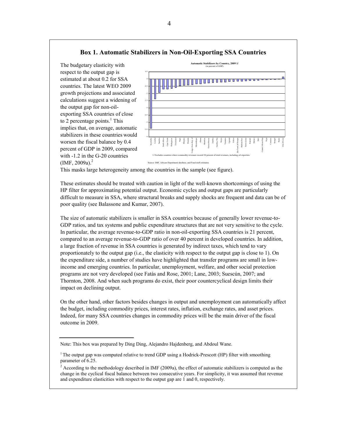

The budgetary elasticity with respect to the output gap is estimated at about 0.2 for SSA countries. The latest WEO 2009 growth projections and associated calculations suggest a widening of the output gap for non-oilexporting SSA countries of close to 2 percentage points. $<sup>1</sup>$  This</sup> implies that, on average, automatic stabilizers in these countries would worsen the fiscal balance by 0.4 percent of GDP in 2009, compared with -1.2 in the G-20 countries  $(IMF, 2009a).<sup>2</sup>$ 



This masks large heterogeneity among the countries in the sample (see figure).

These estimates should be treated with caution in light of the well-known shortcomings of using the HP filter for approximating potential output. Economic cycles and output gaps are particularly difficult to measure in SSA, where structural breaks and supply shocks are frequent and data can be of poor quality (see Balassone and Kumar, 2007).

The size of automatic stabilizers is smaller in SSA countries because of generally lower revenue-to-GDP ratios, and tax systems and public expenditure structures that are not very sensitive to the cycle. In particular, the average revenue-to-GDP ratio in non-oil-exporting SSA countries is 21 percent, compared to an average revenue-to-GDP ratio of over 40 percent in developed countries. In addition, a large fraction of revenue in SSA countries is generated by indirect taxes, which tend to vary proportionately to the output gap (i.e., the elasticity with respect to the output gap is close to 1). On the expenditure side, a number of studies have highlighted that transfer programs are small in lowincome and emerging countries. In particular, unemployment, welfare, and other social protection programs are not very developed (see Fatás and Rose, 2001; Lane, 2003; Suescún, 2007; and Thornton, 2008. And when such programs do exist, their poor countercyclical design limits their impact on declining output.

On the other hand, other factors besides changes in output and unemployment can automatically affect the budget, including commodity prices, interest rates, inflation, exchange rates, and asset prices. Indeed, for many SSA countries changes in commodity prices will be the main driver of the fiscal outcome in 2009.

Note: This box was prepared by Ding Ding, Alejandro Hajdenberg, and Abdoul Wane.

<sup>&</sup>lt;sup>1</sup> The output gap was computed relative to trend GDP using a Hodrick-Prescott (HP) filter with smoothing parameter of 6.25.

 $<sup>2</sup>$  According to the methodology described in IMF (2009a), the effect of automatic stabilizers is computed as the</sup> change in the cyclical fiscal balance between two consecutive years. For simplicity, it was assumed that revenue and expenditure elasticities with respect to the output gap are 1 and 0, respectively.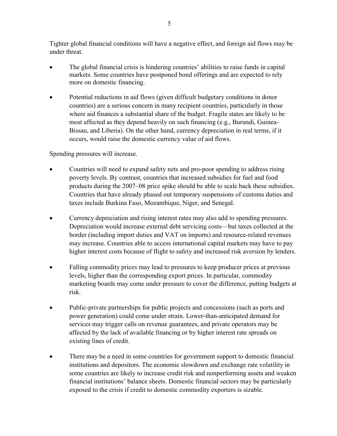Tighter global financial conditions will have a negative effect, and foreign aid flows may be under threat.

- The global financial crisis is hindering countries' abilities to raise funds in capital markets. Some countries have postponed bond offerings and are expected to rely more on domestic financing.
- Potential reductions in aid flows (given difficult budgetary conditions in donor countries) are a serious concern in many recipient countries, particularly in those where aid finances a substantial share of the budget. Fragile states are likely to be most affected as they depend heavily on such financing (e.g., Burundi, Guinea-Bissau, and Liberia). On the other hand, currency depreciation in real terms, if it occurs, would raise the domestic currency value of aid flows.

Spending pressures will increase.

- Countries will need to expand safety nets and pro-poor spending to address rising poverty levels. By contrast, countries that increased subsidies for fuel and food products during the 2007–08 price spike should be able to scale back these subsidies. Countries that have already phased out temporary suspensions of customs duties and taxes include Burkina Faso, Mozambique, Niger, and Senegal.
- Currency depreciation and rising interest rates may also add to spending pressures. Depreciation would increase external debt servicing costs—but taxes collected at the border (including import duties and VAT on imports) and resource-related revenues may increase. Countries able to access international capital markets may have to pay higher interest costs because of flight to safety and increased risk aversion by lenders.
- Falling commodity prices may lead to pressures to keep producer prices at previous levels, higher than the corresponding export prices. In particular, commodity marketing boards may come under pressure to cover the difference, putting budgets at risk.
- Public-private partnerships for public projects and concessions (such as ports and power generation) could come under strain. Lower-than-anticipated demand for services may trigger calls on revenue guarantees, and private operators may be affected by the lack of available financing or by higher interest rate spreads on existing lines of credit.
- There may be a need in some countries for government support to domestic financial institutions and depositors. The economic slowdown and exchange rate volatility in some countries are likely to increase credit risk and nonperforming assets and weaken financial institutions' balance sheets. Domestic financial sectors may be particularly exposed to the crisis if credit to domestic commodity exporters is sizable.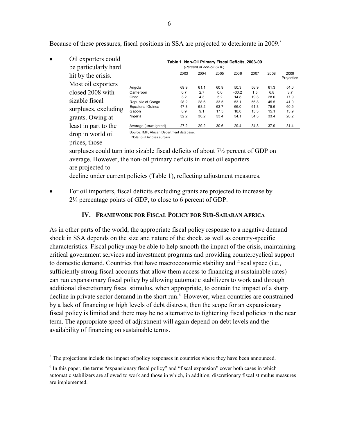Because of these pressures, fiscal positions in SSA are projected to deteriorate in 2009.<sup>5</sup>

2003 2004 2005 2006 2007 2008 2009 Projection Angola 69.9 61.1 60.9 50.3 56.9 61.3 54.0 Cameroon 0.7 2.7 0.0 -30.2 1.5 6.8 3.7 Chad 3.2 4.3 5.2 14.8 19.3 28.0 17.9 Republic of Congo 28.2 28.6 33.5 53.1 56.8 45.5 41.0 Equatorial Guinea 47.3 68.2 63.7 66.0 61.3 75.6 60.9 Gabon 8.9 9.1 17.5 18.0 13.3 15.1 13.9 Nigeria 32.2 30.2 33.4 34.1 34.3 33.4 28.2 Average (unweighted) 27.2 29.2 30.6 29.4 34.8 37.9 31.4 Source: IMF, African Department database. *(Percent of non-oil GDP)* **Table 1. Non-Oil Primary Fiscal Deficits, 2003-09** • Oil exporters could be particularly hard hit by the crisis. Most oil exporters closed 2008 with sizable fiscal surpluses, excluding grants. Owing at least in part to the drop in world oil

Note: (–) Denotes surplus.

prices, those

 $\overline{a}$ 

surpluses could turn into sizable fiscal deficits of about 7½ percent of GDP on average. However, the non-oil primary deficits in most oil exporters are projected to

decline under current policies (Table 1), reflecting adjustment measures.

• For oil importers, fiscal deficits excluding grants are projected to increase by 2¼ percentage points of GDP, to close to 6 percent of GDP.

#### **IV. FRAMEWORK FOR FISCAL POLICY FOR SUB-SAHARAN AFRICA**

As in other parts of the world, the appropriate fiscal policy response to a negative demand shock in SSA depends on the size and nature of the shock, as well as country-specific characteristics. Fiscal policy may be able to help smooth the impact of the crisis, maintaining critical government services and investment programs and providing countercyclical support to domestic demand. Countries that have macroeconomic stability and fiscal space (i.e., sufficiently strong fiscal accounts that allow them access to financing at sustainable rates) can run expansionary fiscal policy by allowing automatic stabilizers to work and through additional discretionary fiscal stimulus, when appropriate, to contain the impact of a sharp decline in private sector demand in the short run.<sup>6</sup> However, when countries are constrained by a lack of financing or high levels of debt distress, then the scope for an expansionary fiscal policy is limited and there may be no alternative to tightening fiscal policies in the near term. The appropriate speed of adjustment will again depend on debt levels and the availability of financing on sustainable terms.

 $<sup>5</sup>$  The projections include the impact of policy responses in countries where they have been announced.</sup>

<sup>&</sup>lt;sup>6</sup> In this paper, the terms "expansionary fiscal policy" and "fiscal expansion" cover both cases in which automatic stabilizers are allowed to work and those in which, in addition, discretionary fiscal stimulus measures are implemented.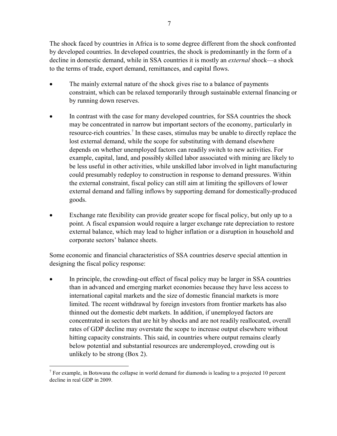The shock faced by countries in Africa is to some degree different from the shock confronted by developed countries. In developed countries, the shock is predominantly in the form of a decline in domestic demand, while in SSA countries it is mostly an *external* shock—a shock to the terms of trade, export demand, remittances, and capital flows.

- The mainly external nature of the shock gives rise to a balance of payments constraint, which can be relaxed temporarily through sustainable external financing or by running down reserves.
- In contrast with the case for many developed countries, for SSA countries the shock may be concentrated in narrow but important sectors of the economy, particularly in resource-rich countries.<sup>7</sup> In these cases, stimulus may be unable to directly replace the lost external demand, while the scope for substituting with demand elsewhere depends on whether unemployed factors can readily switch to new activities. For example, capital, land, and possibly skilled labor associated with mining are likely to be less useful in other activities, while unskilled labor involved in light manufacturing could presumably redeploy to construction in response to demand pressures. Within the external constraint, fiscal policy can still aim at limiting the spillovers of lower external demand and falling inflows by supporting demand for domestically-produced goods.
- Exchange rate flexibility can provide greater scope for fiscal policy, but only up to a point. A fiscal expansion would require a larger exchange rate depreciation to restore external balance, which may lead to higher inflation or a disruption in household and corporate sectors' balance sheets.

Some economic and financial characteristics of SSA countries deserve special attention in designing the fiscal policy response:

In principle, the crowding-out effect of fiscal policy may be larger in SSA countries than in advanced and emerging market economies because they have less access to international capital markets and the size of domestic financial markets is more limited. The recent withdrawal by foreign investors from frontier markets has also thinned out the domestic debt markets. In addition, if unemployed factors are concentrated in sectors that are hit by shocks and are not readily reallocated, overall rates of GDP decline may overstate the scope to increase output elsewhere without hitting capacity constraints. This said, in countries where output remains clearly below potential and substantial resources are underemployed, crowding out is unlikely to be strong (Box 2).

 $7$  For example, in Botswana the collapse in world demand for diamonds is leading to a projected 10 percent decline in real GDP in 2009.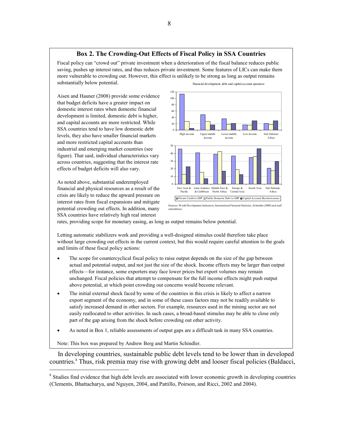#### **Box 2. The Crowding-Out Effects of Fiscal Policy in SSA Countries**

Fiscal policy can "crowd out" private investment when a deterioration of the fiscal balance reduces public saving, pushes up interest rates, and thus reduces private investment. Some features of LICs can make them more vulnerable to crowding out. However, this effect is unlikely to be strong as long as output remains substantially below potential.

Aisen and Hauner (2008) provide some evidence that budget deficits have a greater impact on domestic interest rates when domestic financial development is limited, domestic debt is higher, and capital accounts are more restricted. While SSA countries tend to have low domestic debt levels, they also have smaller financial markets and more restricted capital accounts than industrial and emerging market countries (see figure). That said, individual characteristics vary across countries, suggesting that the interest rate effects of budget deficits will also vary.

As noted above, substantial underemployed financial and physical resources as a result of the crisis are likely to reduce the upward pressure on interest rates from fiscal expansions and mitigate potential crowding out effects. In addition, many SSA countries have relatively high real interest



Financial development, debt and capital account openness

Sources: World Development Indicators, International Financial Statistics, Schindler (2009) and staff calculations.

rates, providing scope for monetary easing, as long as output remains below potential.

Letting automatic stabilizers work and providing a well-designed stimulus could therefore take place without large crowding out effects in the current context, but this would require careful attention to the goals and limits of these fiscal policy actions:

- The scope for countercyclical fiscal policy to raise output depends on the size of the gap between actual and potential output, and not just the size of the shock. Income effects may be larger than output effects—for instance, some exporters may face lower prices but export volumes may remain unchanged. Fiscal policies that attempt to compensate for the full income effects might push output above potential, at which point crowding out concerns would become relevant.
- The initial external shock faced by some of the countries in this crisis is likely to affect a narrow export segment of the economy, and in some of these cases factors may not be readily available to satisfy increased demand in other sectors. For example, resources used in the mining sector are not easily reallocated to other activities. In such cases, a broad-based stimulus may be able to close only part of the gap arising from the shock before crowding out other activity.
- As noted in Box 1, reliable assessments of output gaps are a difficult task in many SSA countries.

Note: This box was prepared by Andrew Berg and Martin Schindler.

 $\overline{a}$ 

 In developing countries, sustainable public debt levels tend to be lower than in developed countries.<sup>8</sup> Thus, risk premia may rise with growing debt and looser fiscal policies (Baldacci,

<sup>&</sup>lt;sup>8</sup> Studies find evidence that high debt levels are associated with lower economic growth in developing countries (Clements, Bhattacharya, and Nguyen, 2004, and Pattillo, Poirson, and Ricci, 2002 and 2004).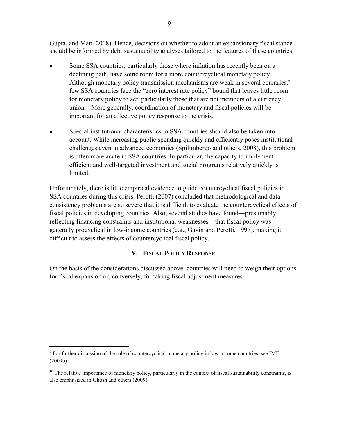Gupta, and Mati, 2008). Hence, decisions on whether to adopt an expansionary fiscal stance should be informed by debt sustainability analyses tailored to the features of these countries.

- Some SSA countries, particularly those where inflation has recently been on a declining path, have some room for a more countercyclical monetary policy. Although monetary policy transmission mechanisms are weak in several countries,<sup>9</sup> few SSA countries face the "zero interest rate policy" bound that leaves little room for monetary policy to act, particularly those that are not members of a currency union.10 More generally, coordination of monetary and fiscal policies will be important for an effective policy response to the crisis.
- Special institutional characteristics in SSA countries should also be taken into account. While increasing public spending quickly and efficiently poses institutional challenges even in advanced economies (Spilimbergo and others, 2008), this problem is often more acute in SSA countries. In particular, the capacity to implement efficient and well-targeted investment and social programs relatively quickly is limited.

Unfortunately, there is little empirical evidence to guide countercyclical fiscal policies in SSA countries during this crisis. Perotti (2007) concluded that methodological and data consistency problems are so severe that it is difficult to evaluate the countercyclical effects of fiscal policies in developing countries. Also, several studies have found—presumably reflecting financing constraints and institutional weaknesses—that fiscal policy was generally procyclical in low-income countries (e.g., Gavin and Perotti, 1997), making it difficult to assess the effects of countercyclical fiscal policy.

### **V. FISCAL POLICY RESPONSE**

On the basis of the considerations discussed above, countries will need to weigh their options for fiscal expansion or, conversely, for taking fiscal adjustment measures.

1

<sup>&</sup>lt;sup>9</sup> For further discussion of the role of countercyclical monetary policy in low-income countries, see IMF (2009b).

 $10$  The relative importance of monetary policy, particularly in the context of fiscal sustainability constraints, is also emphasized in Ghosh and others (2009).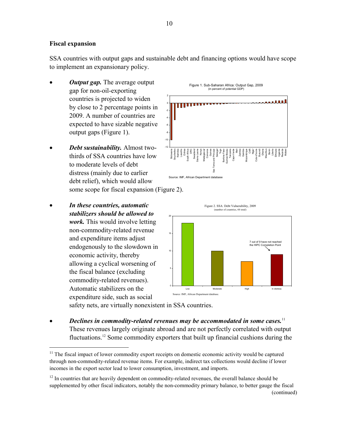#### **Fiscal expansion**

SSA countries with output gaps and sustainable debt and financing options would have scope to implement an expansionary policy.

> -10 -8 -6 -4 -2 0 2

> > Botswana Seychelles Namibia Lesotho Eritrea South Africa DRC Swaziland Sierra Leone Kenya Madagascar Comoros Guinea Sao Tome and Principe Senegal Togo Burkina Faso Guinea Bissau Tanzania Cape Verde Mali Zambia Gambia Mozambique CAR Niger Cote d'Ivoire Burundi Ghana Mauritius Benin Liberia Ethiopia Uganda Rwanda Malawi

- *Output gap.* The average output gap for non-oil-exporting countries is projected to widen by close to 2 percentage points in 2009. A number of countries are expected to have sizable negative output gaps (Figure 1).
- *Debt sustainability.* Almost twothirds of SSA countries have low to moderate levels of debt distress (mainly due to earlier debt relief), which would allow some scope for fiscal expansion (Figure 2). Source: IMF, African Department databa -12
- *In these countries, automatic stabilizers should be allowed to work.* This would involve letting non-commodity-related revenue and expenditure items adjust endogenously to the slowdown in economic activity, thereby allowing a cyclical worsening of the fiscal balance (excluding commodity-related revenues). Automatic stabilizers on the expenditure side, such as social

 $\overline{a}$ 



Figure 2. SSA: Debt Vulnerability, 2009

န္တ

Figure 1. Sub-Saharan Africa: Output Gap, 2009 (in percent of potential GDP)

. . . . I

safety nets, are virtually nonexistent in SSA countries.

• *Declines in commodity-related revenues may be accommodated in some cases.*<sup>11</sup> These revenues largely originate abroad and are not perfectly correlated with output fluctuations.<sup>12</sup> Some commodity exporters that built up financial cushions during the

Source: IMF, African Department database.

<sup>&</sup>lt;sup>11</sup> The fiscal impact of lower commodity export receipts on domestic economic activity would be captured through non-commodity-related revenue items. For example, indirect tax collections would decline if lower incomes in the export sector lead to lower consumption, investment, and imports.

 $12$  In countries that are heavily dependent on commodity-related revenues, the overall balance should be supplemented by other fiscal indicators, notably the non-commodity primary balance, to better gauge the fiscal (continued)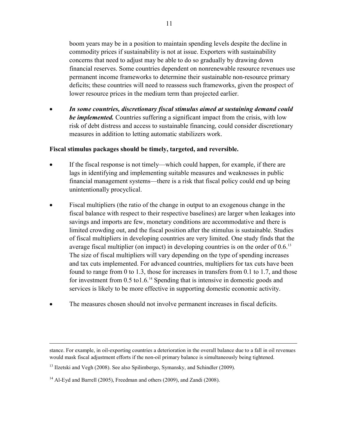boom years may be in a position to maintain spending levels despite the decline in commodity prices if sustainability is not at issue. Exporters with sustainability concerns that need to adjust may be able to do so gradually by drawing down financial reserves. Some countries dependent on nonrenewable resource revenues use permanent income frameworks to determine their sustainable non-resource primary deficits; these countries will need to reassess such frameworks, given the prospect of lower resource prices in the medium term than projected earlier.

• *In some countries, discretionary fiscal stimulus aimed at sustaining demand could be implemented.* Countries suffering a significant impact from the crisis, with low risk of debt distress and access to sustainable financing, could consider discretionary measures in addition to letting automatic stabilizers work.

#### **Fiscal stimulus packages should be timely, targeted, and reversible.**

- If the fiscal response is not timely—which could happen, for example, if there are lags in identifying and implementing suitable measures and weaknesses in public financial management systems—there is a risk that fiscal policy could end up being unintentionally procyclical.
- Fiscal multipliers (the ratio of the change in output to an exogenous change in the fiscal balance with respect to their respective baselines) are larger when leakages into savings and imports are few, monetary conditions are accommodative and there is limited crowding out, and the fiscal position after the stimulus is sustainable. Studies of fiscal multipliers in developing countries are very limited. One study finds that the average fiscal multiplier (on impact) in developing countries is on the order of  $0.6$ <sup>13</sup> The size of fiscal multipliers will vary depending on the type of spending increases and tax cuts implemented. For advanced countries, multipliers for tax cuts have been found to range from 0 to 1.3, those for increases in transfers from 0.1 to 1.7, and those for investment from  $0.5$  to  $1.6$ .<sup>14</sup> Spending that is intensive in domestic goods and services is likely to be more effective in supporting domestic economic activity.
- The measures chosen should not involve permanent increases in fiscal deficits.

stance. For example, in oil-exporting countries a deterioration in the overall balance due to a fall in oil revenues would mask fiscal adjustment efforts if the non-oil primary balance is simultaneously being tightened.

<sup>&</sup>lt;sup>13</sup> Ilzetski and Vegh (2008). See also Spilimbergo, Symansky, and Schindler (2009).

<sup>&</sup>lt;sup>14</sup> Al-Eyd and Barrell (2005), Freedman and others (2009), and Zandi (2008).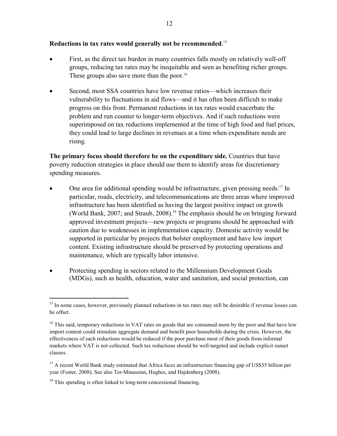#### **Reductions in tax rates would generally not be recommended**. 15

- First, as the direct tax burden in many countries falls mostly on relatively well-off groups, reducing tax rates may be inequitable and seen as benefiting richer groups. These groups also save more than the poor.<sup>16</sup>
- Second, most SSA countries have low revenue ratios—which increases their vulnerability to fluctuations in aid flows—and it has often been difficult to make progress on this front. Permanent reductions in tax rates would exacerbate the problem and run counter to longer-term objectives. And if such reductions were superimposed on tax reductions implemented at the time of high food and fuel prices, they could lead to large declines in revenues at a time when expenditure needs are rising.

**The primary focus should therefore be on the expenditure side.** Countries that have poverty reduction strategies in place should use them to identify areas for discretionary spending measures.

- One area for additional spending would be infrastructure, given pressing needs.<sup>17</sup> In particular, roads, electricity, and telecommunications are three areas where improved infrastructure has been identified as having the largest positive impact on growth (World Bank, 2007; and Straub, 2008).18 The emphasis should be on bringing forward approved investment projects—new projects or programs should be approached with caution due to weaknesses in implementation capacity. Domestic activity would be supported in particular by projects that bolster employment and have low import content. Existing infrastructure should be preserved by protecting operations and maintenance, which are typically labor intensive.
- Protecting spending in sectors related to the Millennium Development Goals (MDGs), such as health, education, water and sanitation, and social protection, can

1

 $15$  In some cases, however, previously planned reductions in tax rates may still be desirable if revenue losses can be offset.

<sup>&</sup>lt;sup>16</sup> This said, temporary reductions in VAT rates on goods that are consumed more by the poor and that have low import content could stimulate aggregate demand and benefit poor households during the crisis. However, the effectiveness of such reductions would be reduced if the poor purchase most of their goods from informal markets where VAT is not collected. Such tax reductions should be well-targeted and include explicit sunset clauses.

<sup>&</sup>lt;sup>17</sup> A recent World Bank study estimated that Africa faces an infrastructure financing gap of US\$35 billion per year (Foster, 2008). See also Ter-Minassian, Hughes, and Hajdenberg (2008).

 $18$  This spending is often linked to long-term concessional financing.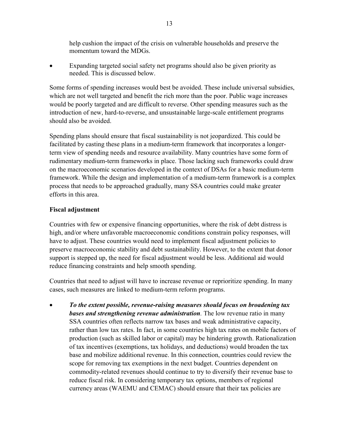help cushion the impact of the crisis on vulnerable households and preserve the momentum toward the MDGs.

Expanding targeted social safety net programs should also be given priority as needed. This is discussed below.

Some forms of spending increases would best be avoided. These include universal subsidies, which are not well targeted and benefit the rich more than the poor. Public wage increases would be poorly targeted and are difficult to reverse. Other spending measures such as the introduction of new, hard-to-reverse, and unsustainable large-scale entitlement programs should also be avoided.

Spending plans should ensure that fiscal sustainability is not jeopardized. This could be facilitated by casting these plans in a medium-term framework that incorporates a longerterm view of spending needs and resource availability. Many countries have some form of rudimentary medium-term frameworks in place. Those lacking such frameworks could draw on the macroeconomic scenarios developed in the context of DSAs for a basic medium-term framework. While the design and implementation of a medium-term framework is a complex process that needs to be approached gradually, many SSA countries could make greater efforts in this area.

#### **Fiscal adjustment**

Countries with few or expensive financing opportunities, where the risk of debt distress is high, and/or where unfavorable macroeconomic conditions constrain policy responses, will have to adjust. These countries would need to implement fiscal adjustment policies to preserve macroeconomic stability and debt sustainability. However, to the extent that donor support is stepped up, the need for fiscal adjustment would be less. Additional aid would reduce financing constraints and help smooth spending.

Countries that need to adjust will have to increase revenue or reprioritize spending. In many cases, such measures are linked to medium-term reform programs.

• *To the extent possible, revenue-raising measures should focus on broadening tax bases and strengthening revenue administration.* The low revenue ratio in many SSA countries often reflects narrow tax bases and weak administrative capacity, rather than low tax rates. In fact, in some countries high tax rates on mobile factors of production (such as skilled labor or capital) may be hindering growth. Rationalization of tax incentives (exemptions, tax holidays, and deductions) would broaden the tax base and mobilize additional revenue. In this connection, countries could review the scope for removing tax exemptions in the next budget. Countries dependent on commodity-related revenues should continue to try to diversify their revenue base to reduce fiscal risk. In considering temporary tax options, members of regional currency areas (WAEMU and CEMAC) should ensure that their tax policies are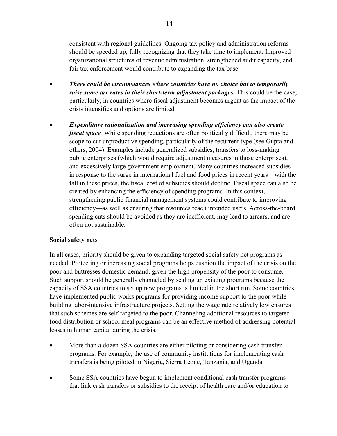consistent with regional guidelines. Ongoing tax policy and administration reforms should be speeded up, fully recognizing that they take time to implement. Improved organizational structures of revenue administration, strengthened audit capacity, and fair tax enforcement would contribute to expanding the tax base.

- *There could be circumstances where countries have no choice but to temporarily raise some tax rates in their short-term adjustment packages.* This could be the case, particularly, in countries where fiscal adjustment becomes urgent as the impact of the crisis intensifies and options are limited.
- *Expenditure rationalization and increasing spending efficiency can also create fiscal space.* While spending reductions are often politically difficult, there may be scope to cut unproductive spending, particularly of the recurrent type (see Gupta and others, 2004). Examples include generalized subsidies, transfers to loss-making public enterprises (which would require adjustment measures in those enterprises), and excessively large government employment. Many countries increased subsidies in response to the surge in international fuel and food prices in recent years—with the fall in these prices, the fiscal cost of subsidies should decline. Fiscal space can also be created by enhancing the efficiency of spending programs. In this context, strengthening public financial management systems could contribute to improving efficiency—as well as ensuring that resources reach intended users. Across-the-board spending cuts should be avoided as they are inefficient, may lead to arrears, and are often not sustainable.

#### **Social safety nets**

In all cases, priority should be given to expanding targeted social safety net programs as needed. Protecting or increasing social programs helps cushion the impact of the crisis on the poor and buttresses domestic demand, given the high propensity of the poor to consume. Such support should be generally channeled by scaling up existing programs because the capacity of SSA countries to set up new programs is limited in the short run. Some countries have implemented public works programs for providing income support to the poor while building labor-intensive infrastructure projects. Setting the wage rate relatively low ensures that such schemes are self-targeted to the poor. Channeling additional resources to targeted food distribution or school meal programs can be an effective method of addressing potential losses in human capital during the crisis.

- More than a dozen SSA countries are either piloting or considering cash transfer programs. For example, the use of community institutions for implementing cash transfers is being piloted in Nigeria, Sierra Leone, Tanzania, and Uganda.
- Some SSA countries have begun to implement conditional cash transfer programs that link cash transfers or subsidies to the receipt of health care and/or education to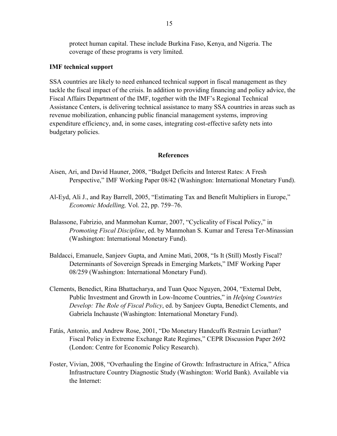protect human capital. These include Burkina Faso, Kenya, and Nigeria. The coverage of these programs is very limited.

#### **IMF technical support**

SSA countries are likely to need enhanced technical support in fiscal management as they tackle the fiscal impact of the crisis. In addition to providing financing and policy advice, the Fiscal Affairs Department of the IMF, together with the IMF's Regional Technical Assistance Centers, is delivering technical assistance to many SSA countries in areas such as revenue mobilization, enhancing public financial management systems, improving expenditure efficiency, and, in some cases, integrating cost-effective safety nets into budgetary policies.

#### **References**

- Aisen, Ari, and David Hauner, 2008, "Budget Deficits and Interest Rates: A Fresh Perspective," IMF Working Paper 08/42 (Washington: International Monetary Fund).
- Al-Eyd, Ali J., and Ray Barrell, 2005, "Estimating Tax and Benefit Multipliers in Europe," *Economic Modelling,* Vol. 22, pp. 759–76.
- Balassone, Fabrizio, and Manmohan Kumar, 2007, "Cyclicality of Fiscal Policy," in *Promoting Fiscal Discipline*, ed. by Manmohan S. Kumar and Teresa Ter-Minassian (Washington: International Monetary Fund).
- Baldacci, Emanuele, Sanjeev Gupta, and Amine Mati, 2008, "Is It (Still) Mostly Fiscal? Determinants of Sovereign Spreads in Emerging Markets," IMF Working Paper 08/259 (Washington: International Monetary Fund).
- Clements, Benedict, Rina Bhattacharya, and Tuan Quoc Nguyen, 2004, "External Debt, Public Investment and Growth in Low-Income Countries," in *Helping Countries Develop: The Role of Fiscal Policy*, ed. by Sanjeev Gupta, Benedict Clements, and Gabriela Inchauste (Washington: International Monetary Fund).
- Fatás, Antonio, and Andrew Rose, 2001, "Do Monetary Handcuffs Restrain Leviathan? Fiscal Policy in Extreme Exchange Rate Regimes," CEPR Discussion Paper 2692 (London: Centre for Economic Policy Research).
- Foster, Vivian, 2008, "Overhauling the Engine of Growth: Infrastructure in Africa," Africa Infrastructure Country Diagnostic Study (Washington: World Bank). Available via the Internet: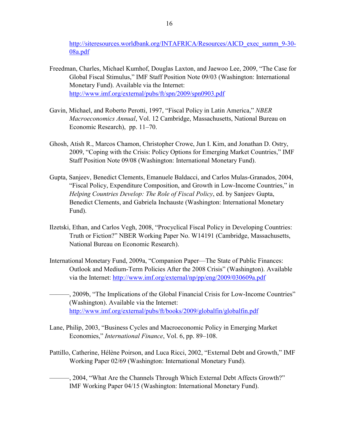http://siteresources.worldbank.org/INTAFRICA/Resources/AICD\_exec\_summ\_9-30-08a.pdf

- Freedman, Charles, Michael Kumhof, Douglas Laxton, and Jaewoo Lee, 2009, "The Case for Global Fiscal Stimulus," IMF Staff Position Note 09/03 (Washington: International Monetary Fund). Available via the Internet: http://www.imf.org/external/pubs/ft/spn/2009/spn0903.pdf
- Gavin, Michael, and Roberto Perotti, 1997, "Fiscal Policy in Latin America," *NBER Macroeconomics Annual*, Vol. 12 Cambridge, Massachusetts, National Bureau on Economic Research), pp. 11–70.
- Ghosh, Atish R., Marcos Chamon, Christopher Crowe, Jun I. Kim, and Jonathan D. Ostry, 2009, "Coping with the Crisis: Policy Options for Emerging Market Countries," IMF Staff Position Note 09/08 (Washington: International Monetary Fund).
- Gupta, Sanjeev, Benedict Clements, Emanuele Baldacci, and Carlos Mulas-Granados, 2004, "Fiscal Policy, Expenditure Composition, and Growth in Low-Income Countries," in *Helping Countries Develop: The Role of Fiscal Policy*, ed. by Sanjeev Gupta, Benedict Clements, and Gabriela Inchauste (Washington: International Monetary Fund).
- Ilzetski, Ethan, and Carlos Vegh, 2008, "Procyclical Fiscal Policy in Developing Countries: Truth or Fiction?" NBER Working Paper No. W14191 (Cambridge, Massachusetts, National Bureau on Economic Research).
- International Monetary Fund, 2009a, "Companion Paper—The State of Public Finances: Outlook and Medium-Term Policies After the 2008 Crisis" (Washington). Available via the Internet: http://www.imf.org/external/np/pp/eng/2009/030609a.pdf
- ———, 2009b, "The Implications of the Global Financial Crisis for Low-Income Countries" (Washington). Available via the Internet: http://www.imf.org/external/pubs/ft/books/2009/globalfin/globalfin.pdf
- Lane, Philip, 2003, "Business Cycles and Macroeconomic Policy in Emerging Market Economies," *International Finance*, Vol. 6, pp. 89–108.
- Pattillo, Catherine, Hélène Poirson, and Luca Ricci, 2002, "External Debt and Growth," IMF Working Paper 02/69 (Washington: International Monetary Fund).
- ———, 2004, "What Are the Channels Through Which External Debt Affects Growth?" IMF Working Paper 04/15 (Washington: International Monetary Fund).